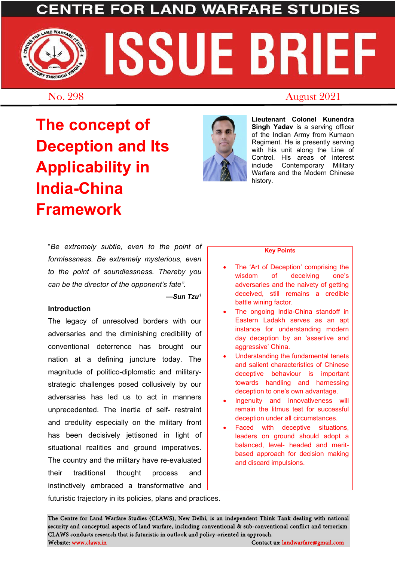## **FOR LAND WARFARE STUDIES**

# ND WARFARE SSUE BRIEF THROUGH

### No. 298 August 2021

**The concept of Deception and Its Applicability in India-China Framework**



**Lieutenant Colonel Kunendra Singh Yadav** is a serving officer of the Indian Army from Kumaon Regiment. He is presently serving with his unit along the Line of Control. His areas of interest include Contemporary Military Warfare and the Modern Chinese history.

"*Be extremely subtle, even to the point of formlessness. Be extremely mysterious, even to the point of soundlessness. Thereby you can be the director of the opponent's fate".* 

*—Sun Tzu[1](#page-2-0)*

#### **Introduction**

The legacy of unresolved borders with our adversaries and the diminishing credibility of conventional deterrence has brought our nation at a defining juncture today. The magnitude of politico-diplomatic and militarystrategic challenges posed collusively by our adversaries has led us to act in manners unprecedented. The inertia of self- restraint and credulity especially on the military front has been decisively jettisoned in light of situational realities and ground imperatives. The country and the military have re-evaluated their traditional thought process and instinctively embraced a transformative and futuristic trajectory in its policies, plans and practices.

#### **Key Points**

- The 'Art of Deception' comprising the wisdom of deceiving one's adversaries and the naivety of getting deceived, still remains a credible battle wining factor.
- The ongoing India-China standoff in Eastern Ladakh serves as an apt instance for understanding modern day deception by an 'assertive and aggressive' China.
- Understanding the fundamental tenets and salient characteristics of Chinese deceptive behaviour is important towards handling and harnessing deception to one's own advantage.
- Ingenuity and innovativeness will remain the litmus test for successful deception under all circumstances.
- Faced with deceptive situations, leaders on ground should adopt a balanced, level- headed and meritbased approach for decision making and discard impulsions.

The Centre for Land Warfare Studies (CLAWS), New Delhi, is an independent Think Tank dealing with national security and conceptual aspects of land warfare, including conventional & sub-conventional conflict and terrorism. CLAWS conducts research that is futuristic in outlook and policy-oriented in approach. Website: www.claws.in Contact us: landwarfare@gmail.com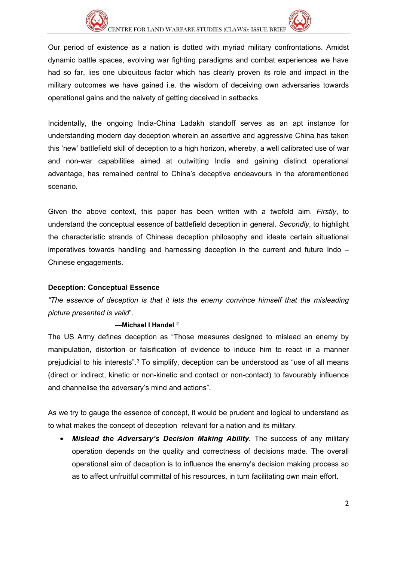



Our period of existence as a nation is dotted with myriad military confrontations. Amidst dynamic battle spaces, evolving war fighting paradigms and combat experiences we have had so far, lies one ubiquitous factor which has clearly proven its role and impact in the military outcomes we have gained i.e. the wisdom of deceiving own adversaries towards operational gains and the naivety of getting deceived in setbacks.

Incidentally, the ongoing India-China Ladakh standoff serves as an apt instance for understanding modern day deception wherein an assertive and aggressive China has taken this 'new' battlefield skill of deception to a high horizon, whereby, a well calibrated use of war and non-war capabilities aimed at outwitting India and gaining distinct operational advantage, has remained central to China's deceptive endeavours in the aforementioned scenario.

Given the above context, this paper has been written with a twofold aim. *Firstly*, to understand the conceptual essence of battlefield deception in general. *Secondly*, to highlight the characteristic strands of Chinese deception philosophy and ideate certain situational imperatives towards handling and harnessing deception in the current and future Indo – Chinese engagements.

#### **Deception: Conceptual Essence**

*"The essence of deception is that it lets the enemy convince himself that the misleading picture presented is valid*".

#### **—Michael I Handel** [2](#page-2-1)

The US Army defines deception as "Those measures designed to mislead an enemy by manipulation, distortion or falsification of evidence to induce him to react in a manner prejudicial to his interests".[3](#page-2-2) To simplify, deception can be understood as "use of all means (direct or indirect, kinetic or non-kinetic and contact or non-contact) to favourably influence and channelise the adversary's mind and actions".

As we try to gauge the essence of concept, it would be prudent and logical to understand as to what makes the concept of deception relevant for a nation and its military.

• *Mislead the Adversary's Decision Making Ability***.** The success of any military operation depends on the quality and correctness of decisions made. The overall operational aim of deception is to influence the enemy's decision making process so as to affect unfruitful committal of his resources, in turn facilitating own main effort.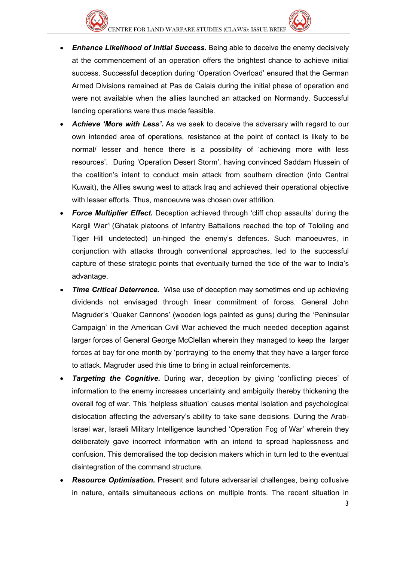

- *Enhance Likelihood of Initial Success***.** Being able to deceive the enemy decisively at the commencement of an operation offers the brightest chance to achieve initial success. Successful deception during 'Operation Overload' ensured that the German Armed Divisions remained at Pas de Calais during the initial phase of operation and were not available when the allies launched an attacked on Normandy. Successful landing operations were thus made feasible.
- *Achieve 'More with Less'.* As we seek to deceive the adversary with regard to our own intended area of operations, resistance at the point of contact is likely to be normal/ lesser and hence there is a possibility of 'achieving more with less resources'. During 'Operation Desert Storm', having convinced Saddam Hussein of the coalition's intent to conduct main attack from southern direction (into Central Kuwait), the Allies swung west to attack Iraq and achieved their operational objective with lesser efforts. Thus, manoeuvre was chosen over attrition.
- *Force Multiplier Effect.* Deception achieved through 'cliff chop assaults' during the Kargil War[4](#page-2-3) (Ghatak platoons of Infantry Battalions reached the top of Tololing and Tiger Hill undetected) un-hinged the enemy's defences. Such manoeuvres, in conjunction with attacks through conventional approaches, led to the successful capture of these strategic points that eventually turned the tide of the war to India's advantage.
- **Time Critical Deterrence.** Wise use of deception may sometimes end up achieving dividends not envisaged through linear commitment of forces. General John Magruder's 'Quaker Cannons' (wooden logs painted as guns) during the 'Peninsular Campaign' in the American Civil War achieved the much needed deception against larger forces of General George McClellan wherein they managed to keep the larger forces at bay for one month by 'portraying' to the enemy that they have a larger force to attack. Magruder used this time to bring in actual reinforcements.
- <span id="page-2-2"></span><span id="page-2-1"></span><span id="page-2-0"></span>**Targeting the Cognitive.** During war, deception by giving 'conflicting pieces' of information to the enemy increases uncertainty and ambiguity thereby thickening the overall fog of war. This 'helpless situation' causes mental isolation and psychological dislocation affecting the adversary's ability to take sane decisions. During the Arab-Israel war, Israeli Military Intelligence launched 'Operation Fog of War' wherein they deliberately gave incorrect information with an intend to spread haplessness and confusion. This demoralised the top decision makers which in turn led to the eventual disintegration of the command structure.
- <span id="page-2-5"></span><span id="page-2-4"></span><span id="page-2-3"></span>• *Resource Optimisation.* Present and future adversarial challenges, being collusive in nature, entails simultaneous actions on multiple fronts. The recent situation in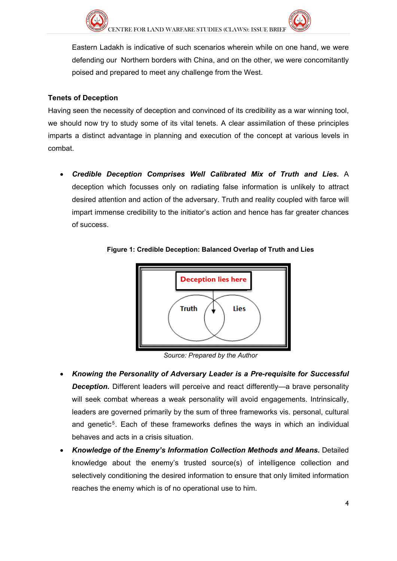

Eastern Ladakh is indicative of such scenarios wherein while on one hand, we were defending our Northern borders with China, and on the other, we were concomitantly poised and prepared to meet any challenge from the West.

#### <span id="page-3-2"></span><span id="page-3-1"></span><span id="page-3-0"></span>**Tenets of Deception**

<span id="page-3-3"></span>Having seen the necessity of deception and convinced of its credibility as a war winning tool, we should now try to study some of its vital tenets. A clear assimilation of these principles imparts a distinct advantage in planning and execution of the concept at various levels in combat.

<span id="page-3-4"></span>• *Credible Deception Comprises Well Calibrated Mix of Truth and Lies***.** A deception which focusses only on radiating false information is unlikely to attract desired attention and action of the adversary. Truth and reality coupled with farce will impart immense credibility to the initiator's action and hence has far greater chances of success.

**Figure 1: Credible Deception: Balanced Overlap of Truth and Lies**



*Source: Prepared by the Author*

- *Knowing the Personality of Adversary Leader is a Pre-requisite for Successful*  **Deception.** Different leaders will perceive and react differently—a brave personality will seek combat whereas a weak personality will avoid engagements. Intrinsically, leaders are governed primarily by the sum of three frameworks vis. personal, cultural and genetic<sup>[5](#page-2-4)</sup>. Each of these frameworks defines the ways in which an individual behaves and acts in a crisis situation.
- *Knowledge of the Enemy's Information Collection Methods and Means.* Detailed knowledge about the enemy's trusted source(s) of intelligence collection and selectively conditioning the desired information to ensure that only limited information reaches the enemy which is of no operational use to him.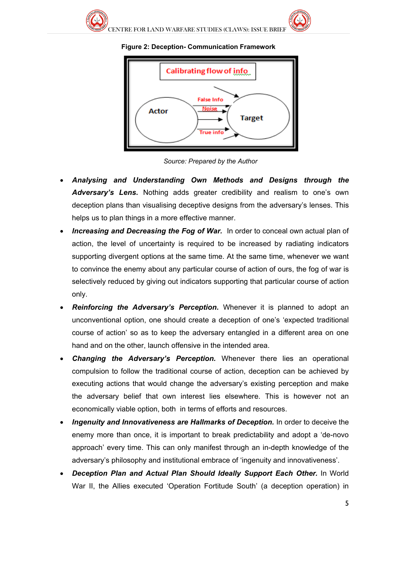

#### **Figure 2: Deception- Communication Framework**



*Source: Prepared by the Author*

- *Analysing and Understanding Own Methods and Designs through the Adversary's Lens***.** Nothing adds greater credibility and realism to one's own deception plans than visualising deceptive designs from the adversary's lenses. This helps us to plan things in a more effective manner.
- **Increasing and Decreasing the Fog of War.** In order to conceal own actual plan of action, the level of uncertainty is required to be increased by radiating indicators supporting divergent options at the same time. At the same time, whenever we want to convince the enemy about any particular course of action of ours, the fog of war is selectively reduced by giving out indicators supporting that particular course of action only.
- *Reinforcing the Adversary's Perception***.** Whenever it is planned to adopt an unconventional option, one should create a deception of one's 'expected traditional course of action' so as to keep the adversary entangled in a different area on one hand and on the other, launch offensive in the intended area.
- *Changing the Adversary's Perception.* Whenever there lies an operational compulsion to follow the traditional course of action, deception can be achieved by executing actions that would change the adversary's existing perception and make the adversary belief that own interest lies elsewhere. This is however not an economically viable option, both in terms of efforts and resources.
- *Ingenuity and Innovativeness are Hallmarks of Deception.* In order to deceive the enemy more than once, it is important to break predictability and adopt a 'de-novo approach' every time. This can only manifest through an in-depth knowledge of the adversary's philosophy and institutional embrace of 'ingenuity and innovativeness'.
- *Deception Plan and Actual Plan Should Ideally Support Each Other.* In World War II, the Allies executed 'Operation Fortitude South' (a deception operation) in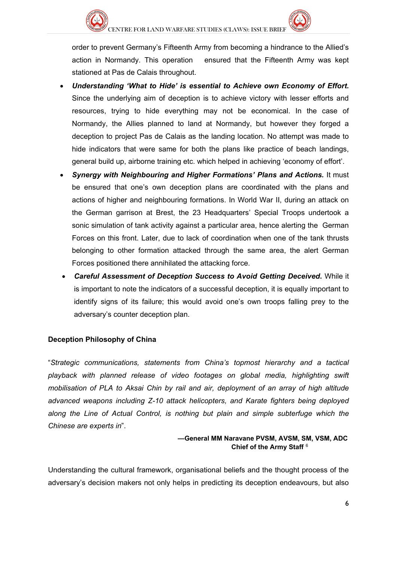

order to prevent Germany's Fifteenth Army from becoming a hindrance to the Allied's action in Normandy. This operation ensured that the Fifteenth Army was kept stationed at Pas de Calais throughout.

- *Understanding 'What to Hide' is essential to Achieve own Economy of Effort.* Since the underlying aim of deception is to achieve victory with lesser efforts and resources, trying to hide everything may not be economical. In the case of Normandy, the Allies planned to land at Normandy, but however they forged a deception to project Pas de Calais as the landing location. No attempt was made to hide indicators that were same for both the plans like practice of beach landings, general build up, airborne training etc. which helped in achieving 'economy of effort'.
- *Synergy with Neighbouring and Higher Formations' Plans and Actions.* It must be ensured that one's own deception plans are coordinated with the plans and actions of higher and neighbouring formations. In World War II, during an attack on the German garrison at Brest, the 23 Headquarters' Special Troops undertook a sonic simulation of tank activity against a particular area, hence alerting the German Forces on this front. Later, due to lack of coordination when one of the tank thrusts belonging to other formation attacked through the same area, the alert German Forces positioned there annihilated the attacking force.
- *Careful Assessment of Deception Success to Avoid Getting Deceived***.** While it is important to note the indicators of a successful deception, it is equally important to identify signs of its failure; this would avoid one's own troops falling prey to the adversary's counter deception plan.

#### **Deception Philosophy of China**

"*Strategic communications, statements from China's topmost hierarchy and a tactical playback with planned release of video footages on global media, highlighting swift mobilisation of PLA to Aksai Chin by rail and air, deployment of an array of high altitude advanced weapons including Z-10 attack helicopters, and Karate fighters being deployed along the Line of Actual Control, is nothing but plain and simple subterfuge which the Chinese are experts in*".

#### **—General MM Naravane PVSM, AVSM, SM, VSM, ADC Chief of the Army Staff** [6](#page-2-5)

Understanding the cultural framework, organisational beliefs and the thought process of the adversary's decision makers not only helps in predicting its deception endeavours, but also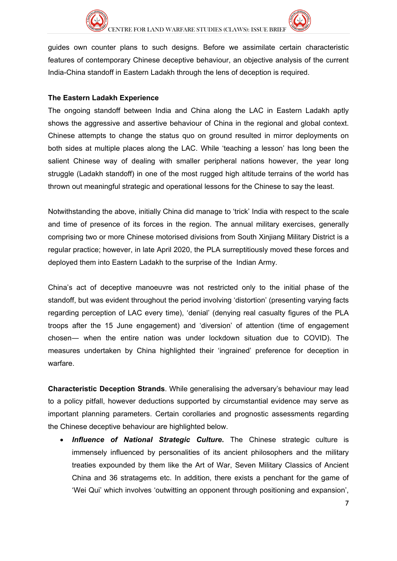



guides own counter plans to such designs. Before we assimilate certain characteristic features of contemporary Chinese deceptive behaviour, an objective analysis of the current India-China standoff in Eastern Ladakh through the lens of deception is required.

#### **The Eastern Ladakh Experience**

The ongoing standoff between India and China along the LAC in Eastern Ladakh aptly shows the aggressive and assertive behaviour of China in the regional and global context. Chinese attempts to change the status quo on ground resulted in mirror deployments on both sides at multiple places along the LAC. While 'teaching a lesson' has long been the salient Chinese way of dealing with smaller peripheral nations however, the year long struggle (Ladakh standoff) in one of the most rugged high altitude terrains of the world has thrown out meaningful strategic and operational lessons for the Chinese to say the least.

Notwithstanding the above, initially China did manage to 'trick' India with respect to the scale and time of presence of its forces in the region. The annual military exercises, generally comprising two or more Chinese motorised divisions from South Xinjiang Military District is a regular practice; however, in late April 2020, the PLA surreptitiously moved these forces and deployed them into Eastern Ladakh to the surprise of the Indian Army.

China's act of deceptive manoeuvre was not restricted only to the initial phase of the standoff, but was evident throughout the period involving 'distortion' (presenting varying facts regarding perception of LAC every time), 'denial' (denying real casualty figures of the PLA troops after the 15 June engagement) and 'diversion' of attention (time of engagement chosen― when the entire nation was under lockdown situation due to COVID). The measures undertaken by China highlighted their 'ingrained' preference for deception in warfare.

**Characteristic Deception Strands**. While generalising the adversary's behaviour may lead to a policy pitfall, however deductions supported by circumstantial evidence may serve as important planning parameters. Certain corollaries and prognostic assessments regarding the Chinese deceptive behaviour are highlighted below.

• *Influence of National Strategic Culture***.** The Chinese strategic culture is immensely influenced by personalities of its ancient philosophers and the military treaties expounded by them like the Art of War, Seven Military Classics of Ancient China and 36 stratagems etc. In addition, there exists a penchant for the game of 'Wei Qui' which involves 'outwitting an opponent through positioning and expansion',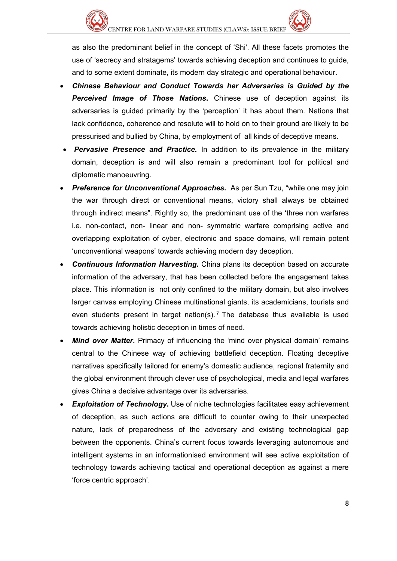as also the predominant belief in the concept of 'Shi'. All these facets promotes the use of 'secrecy and stratagems' towards achieving deception and continues to guide, and to some extent dominate, its modern day strategic and operational behaviour.

- *Chinese Behaviour and Conduct Towards her Adversaries is Guided by the Perceived Image of Those Nations***.** Chinese use of deception against its adversaries is guided primarily by the 'perception' it has about them. Nations that lack confidence, coherence and resolute will to hold on to their ground are likely to be pressurised and bullied by China, by employment of all kinds of deceptive means.
- **Pervasive Presence and Practice.** In addition to its prevalence in the military domain, deception is and will also remain a predominant tool for political and diplomatic manoeuvring.
- **Preference for Unconventional Approaches.** As per Sun Tzu, "while one may join the war through direct or conventional means, victory shall always be obtained through indirect means". Rightly so, the predominant use of the 'three non warfares i.e. non-contact, non- linear and non- symmetric warfare comprising active and overlapping exploitation of cyber, electronic and space domains, will remain potent 'unconventional weapons' towards achieving modern day deception.
- *Continuous Information Harvesting***.** China plans its deception based on accurate information of the adversary, that has been collected before the engagement takes place. This information is not only confined to the military domain, but also involves larger canvas employing Chinese multinational giants, its academicians, tourists and even students present in target nation(s).<sup>[7](#page-3-0)</sup> The database thus available is used towards achieving holistic deception in times of need.
- *Mind over Matter***.** Primacy of influencing the 'mind over physical domain' remains central to the Chinese way of achieving battlefield deception. Floating deceptive narratives specifically tailored for enemy's domestic audience, regional fraternity and the global environment through clever use of psychological, media and legal warfares gives China a decisive advantage over its adversaries.
- **Exploitation of Technology.** Use of niche technologies facilitates easy achievement of deception, as such actions are difficult to counter owing to their unexpected nature, lack of preparedness of the adversary and existing technological gap between the opponents. China's current focus towards leveraging autonomous and intelligent systems in an informationised environment will see active exploitation of technology towards achieving tactical and operational deception as against a mere 'force centric approach'.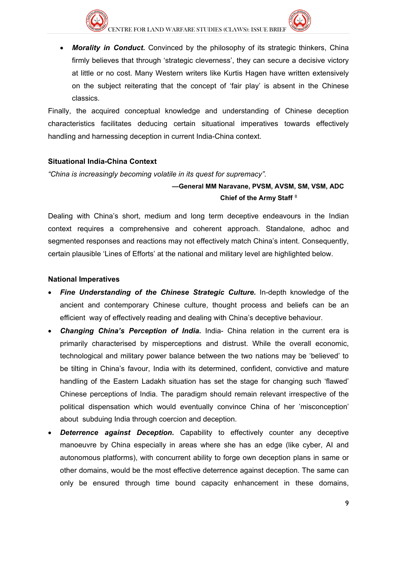

• *Morality in Conduct***.** Convinced by the philosophy of its strategic thinkers, China firmly believes that through 'strategic cleverness', they can secure a decisive victory at little or no cost. Many Western writers like Kurtis Hagen have written extensively on the subject reiterating that the concept of 'fair play' is absent in the Chinese classics.

Finally, the acquired conceptual knowledge and understanding of Chinese deception characteristics facilitates deducing certain situational imperatives towards effectively handling and harnessing deception in current India-China context.

#### **Situational India-China Context**

*"China is increasingly becoming volatile in its quest for supremacy".* 

#### **—General MM Naravane, PVSM, AVSM, SM, VSM, ADC Chief of the Army Staff** [8](#page-3-1)

Dealing with China's short, medium and long term deceptive endeavours in the Indian context requires a comprehensive and coherent approach. Standalone, adhoc and segmented responses and reactions may not effectively match China's intent. Consequently, certain plausible 'Lines of Efforts' at the national and military level are highlighted below.

#### **National Imperatives**

- *Fine Understanding of the Chinese Strategic Culture.* In-depth knowledge of the ancient and contemporary Chinese culture, thought process and beliefs can be an efficient way of effectively reading and dealing with China's deceptive behaviour.
- *Changing China's Perception of India***.** India- China relation in the current era is primarily characterised by misperceptions and distrust. While the overall economic, technological and military power balance between the two nations may be 'believed' to be tilting in China's favour, India with its determined, confident, convictive and mature handling of the Eastern Ladakh situation has set the stage for changing such 'flawed' Chinese perceptions of India. The paradigm should remain relevant irrespective of the political dispensation which would eventually convince China of her 'misconception' about subduing India through coercion and deception.
- **Deterrence against Deception.** Capability to effectively counter any deceptive manoeuvre by China especially in areas where she has an edge (like cyber, AI and autonomous platforms), with concurrent ability to forge own deception plans in same or other domains, would be the most effective deterrence against deception. The same can only be ensured through time bound capacity enhancement in these domains,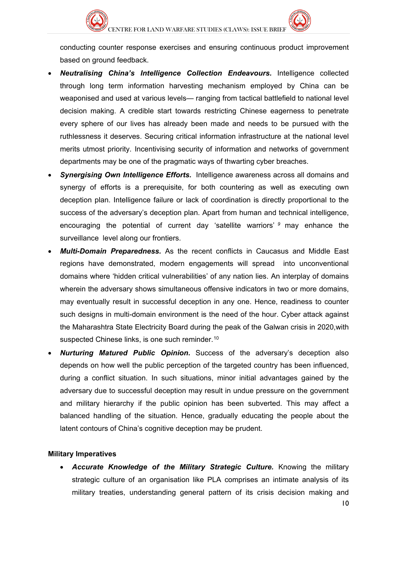

conducting counter response exercises and ensuring continuous product improvement based on ground feedback.

- *Neutralising China's Intelligence Collection Endeavours.* Intelligence collected through long term information harvesting mechanism employed by China can be weaponised and used at various levels— ranging from tactical battlefield to national level decision making. A credible start towards restricting Chinese eagerness to penetrate every sphere of our lives has already been made and needs to be pursued with the ruthlessness it deserves. Securing critical information infrastructure at the national level merits utmost priority. Incentivising security of information and networks of government departments may be one of the pragmatic ways of thwarting cyber breaches.
- *Synergising Own Intelligence Efforts.* Intelligence awareness across all domains and synergy of efforts is a prerequisite, for both countering as well as executing own deception plan. Intelligence failure or lack of coordination is directly proportional to the success of the adversary's deception plan. Apart from human and technical intelligence, encouraging the potential of current day 'satellite warriors' *[9](#page-3-2)* may enhance the surveillance level along our frontiers.
- *Multi-Domain Preparedness.* As the recent conflicts in Caucasus and Middle East regions have demonstrated, modern engagements will spread into unconventional domains where 'hidden critical vulnerabilities' of any nation lies. An interplay of domains wherein the adversary shows simultaneous offensive indicators in two or more domains, may eventually result in successful deception in any one. Hence, readiness to counter such designs in multi-domain environment is the need of the hour. Cyber attack against the Maharashtra State Electricity Board during the peak of the Galwan crisis in 2020,with suspected Chinese links, is one such reminder.<sup>[1](#page-3-3)0</sup>
- *Nurturing Matured Public Opinion***.** Success of the adversary's deception also depends on how well the public perception of the targeted country has been influenced, during a conflict situation. In such situations, minor initial advantages gained by the adversary due to successful deception may result in undue pressure on the government and military hierarchy if the public opinion has been subverted. This may affect a balanced handling of the situation. Hence, gradually educating the people about the latent contours of China's cognitive deception may be prudent.

#### **Military Imperatives**

• *Accurate Knowledge of the Military Strategic Culture.* Knowing the military strategic culture of an organisation like PLA comprises an intimate analysis of its military treaties, understanding general pattern of its crisis decision making and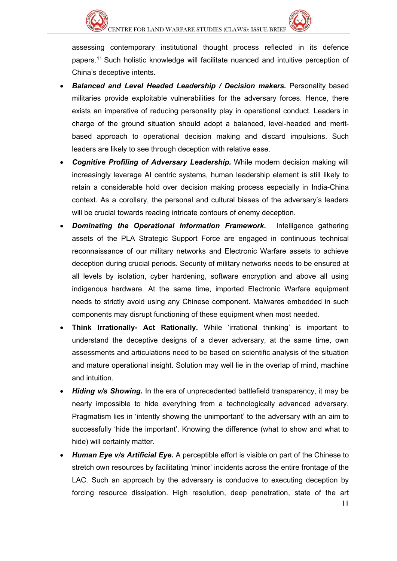

assessing contemporary institutional thought process reflected in its defence papers.[1](#page-3-4)1 Such holistic knowledge will facilitate nuanced and intuitive perception of China's deceptive intents.

- *Balanced and Level Headed Leadership / Decision makers.* Personality based militaries provide exploitable vulnerabilities for the adversary forces. Hence, there exists an imperative of reducing personality play in operational conduct. Leaders in charge of the ground situation should adopt a balanced, level-headed and meritbased approach to operational decision making and discard impulsions. Such leaders are likely to see through deception with relative ease.
- *Cognitive Profiling of Adversary Leadership.* While modern decision making will increasingly leverage AI centric systems, human leadership element is still likely to retain a considerable hold over decision making process especially in India-China context. As a corollary, the personal and cultural biases of the adversary's leaders will be crucial towards reading intricate contours of enemy deception.
- *Dominating the Operational Information Framework.* Intelligence gathering assets of the PLA Strategic Support Force are engaged in continuous technical reconnaissance of our military networks and Electronic Warfare assets to achieve deception during crucial periods. Security of military networks needs to be ensured at all levels by isolation, cyber hardening, software encryption and above all using indigenous hardware. At the same time, imported Electronic Warfare equipment needs to strictly avoid using any Chinese component. Malwares embedded in such components may disrupt functioning of these equipment when most needed.
- **Think Irrationally- Act Rationally.** While 'irrational thinking' is important to understand the deceptive designs of a clever adversary, at the same time, own assessments and articulations need to be based on scientific analysis of the situation and mature operational insight. Solution may well lie in the overlap of mind, machine and intuition.
- *Hiding v/s Showing***.** In the era of unprecedented battlefield transparency, it may be nearly impossible to hide everything from a technologically advanced adversary. Pragmatism lies in 'intently showing the unimportant' to the adversary with an aim to successfully 'hide the important'. Knowing the difference (what to show and what to hide) will certainly matter.
- *Human Eye v/s Artificial Eye.* A perceptible effort is visible on part of the Chinese to stretch own resources by facilitating 'minor' incidents across the entire frontage of the LAC. Such an approach by the adversary is conducive to executing deception by forcing resource dissipation. High resolution, deep penetration, state of the art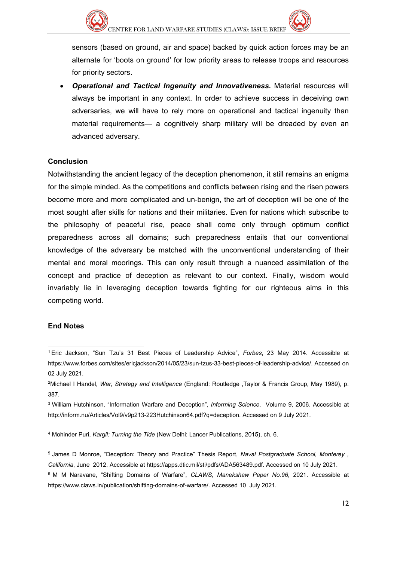

• *Operational and Tactical Ingenuity and Innovativeness.* Material resources will always be important in any context. In order to achieve success in deceiving own adversaries, we will have to rely more on operational and tactical ingenuity than material requirements— a cognitively sharp military will be dreaded by even an advanced adversary.

#### **Conclusion**

Notwithstanding the ancient legacy of the deception phenomenon, it still remains an enigma for the simple minded. As the competitions and conflicts between rising and the risen powers become more and more complicated and un-benign, the art of deception will be one of the most sought after skills for nations and their militaries. Even for nations which subscribe to the philosophy of peaceful rise, peace shall come only through optimum conflict preparedness across all domains; such preparedness entails that our conventional knowledge of the adversary be matched with the unconventional understanding of their mental and moral moorings. This can only result through a nuanced assimilation of the concept and practice of deception as relevant to our context. Finally, wisdom would invariably lie in leveraging deception towards fighting for our righteous aims in this competing world.

#### **End Notes**

-

<sup>4</sup> Mohinder Puri, *Kargil: Turning the Tide* (New Delhi: Lancer Publications, 2015), ch. 6.

<sup>1</sup> Eric Jackson, "Sun Tzu's 31 Best Pieces of Leadership Advice", *Forbes*, 23 May 2014. Accessible at [https://www.forbes.com/sites/ericjackson/2014/05/23/sun-tzus-33-best-pieces-of-leadership-advice/.](https://www.forbes.com/sites/ericjackson/2014/05/23/sun-tzus-33-best-pieces-of-leadership-advice/) Accessed on 02 July 2021.

<sup>2</sup>Michael I Handel, *War, Strategy and Intelligence* (England: Routledge ,Taylor & Francis Group, May 1989), p. 387.

<sup>3</sup> William Hutchinson, "Information Warfare and Deception", *Informing Science*, Volume 9, 2006. Accessible at [http://inform.nu/Articles/Vol9/v9p213-223Hutchinson64.pdf?q=deception.](http://inform.nu/Articles/Vol9/v9p213-223Hutchinson64.pdf?q=deception) Accessed on 9 July 2021.

<sup>5</sup> James D Monroe, "Deception: Theory and Practice" Thesis Report, *Naval Postgraduate School, Monterey , California*, June 2012. Accessible at [https://apps.dtic.mil/sti/pdfs/ADA563489.pdf.](https://apps.dtic.mil/sti/pdfs/ADA563489.pdf) Accessed on 10 July 2021.

<sup>6</sup> M M Naravane, "Shifting Domains of Warfare", *CLAWS, Manekshaw Paper No.96*, 2021. Accessible at [https://www.claws.in/publication/shifting-domains-of-warfare/.](https://www.claws.in/publication/shifting-domains-of-warfare/) Accessed 10 July 2021.